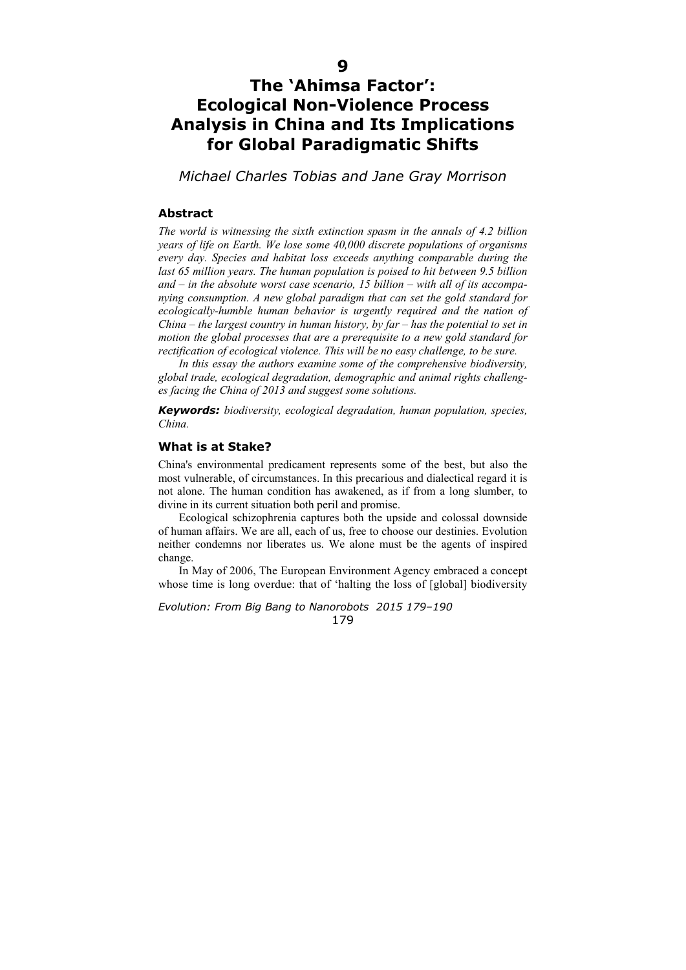# **9**

# **The 'Ahimsa Factor': Ecological Non-Violence Process Analysis in China and Its Implications for Global Paradigmatic Shifts**

*Michael Charles Tobias and Jane Gray Morrison* 

# **Abstract**

*The world is witnessing the sixth extinction spasm in the annals of 4.2 billion years of life on Earth. We lose some 40,000 discrete populations of organisms every day. Species and habitat loss exceeds anything comparable during the last 65 million years. The human population is poised to hit between 9.5 billion and – in the absolute worst case scenario, 15 billion – with all of its accompanying consumption. A new global paradigm that can set the gold standard for ecologically-humble human behavior is urgently required and the nation of China – the largest country in human history, by far – has the potential to set in motion the global processes that are a prerequisite to a new gold standard for rectification of ecological violence. This will be no easy challenge, to be sure.* 

*In this essay the authors examine some of the comprehensive biodiversity, global trade, ecological degradation, demographic and animal rights challenges facing the China of 2013 and suggest some solutions.* 

*Keywords: biodiversity, ecological degradation, human population, species, China.*

# **What is at Stake?**

China's environmental predicament represents some of the best, but also the most vulnerable, of circumstances. In this precarious and dialectical regard it is not alone. The human condition has awakened, as if from a long slumber, to divine in its current situation both peril and promise.

Ecological schizophrenia captures both the upside and colossal downside of human affairs. We are all, each of us, free to choose our destinies. Evolution neither condemns nor liberates us. We alone must be the agents of inspired change.

In May of 2006, The European Environment Agency embraced a concept whose time is long overdue: that of 'halting the loss of [global] biodiversity

*Evolution: From Big Bang to Nanorobots 2015 179–190*  179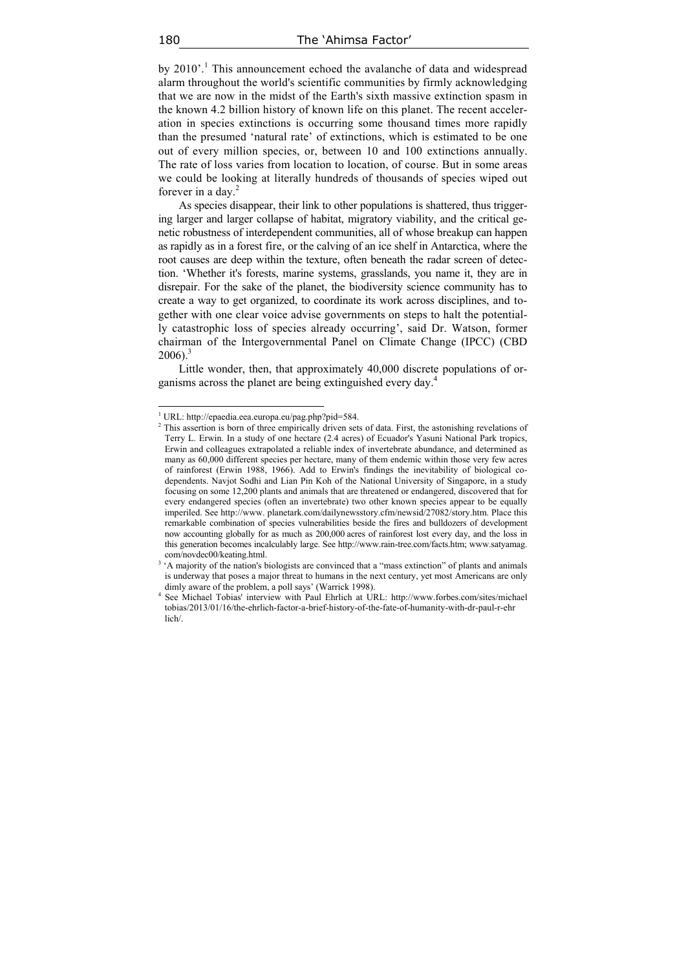by 2010'.<sup>1</sup> This announcement echoed the avalanche of data and widespread alarm throughout the world's scientific communities by firmly acknowledging that we are now in the midst of the Earth's sixth massive extinction spasm in the known 4.2 billion history of known life on this planet. The recent acceleration in species extinctions is occurring some thousand times more rapidly than the presumed 'natural rate' of extinctions, which is estimated to be one out of every million species, or, between 10 and 100 extinctions annually. The rate of loss varies from location to location, of course. But in some areas we could be looking at literally hundreds of thousands of species wiped out forever in a day. $2$ 

As species disappear, their link to other populations is shattered, thus triggering larger and larger collapse of habitat, migratory viability, and the critical genetic robustness of interdependent communities, all of whose breakup can happen as rapidly as in a forest fire, or the calving of an ice shelf in Antarctica, where the root causes are deep within the texture, often beneath the radar screen of detection. 'Whether it's forests, marine systems, grasslands, you name it, they are in disrepair. For the sake of the planet, the biodiversity science community has to create a way to get organized, to coordinate its work across disciplines, and together with one clear voice advise governments on steps to halt the potentially catastrophic loss of species already occurring', said Dr. Watson, former chairman of the Intergovernmental Panel on Climate Change (IPCC) (СBD  $2006$ ).<sup>3</sup>

Little wonder, then, that approximately 40,000 discrete populations of organisms across the planet are being extinguished every day.4

<sup>&</sup>lt;sup>1</sup> URL: http://epaedia.eea.europa.eu/pag.php?pid=584.

<sup>&</sup>lt;sup>2</sup> This assertion is born of three empirically driven sets of data. First, the astonishing revelations of Terry L. Erwin. In a study of one hectare (2.4 acres) of Ecuador's Yasuni National Park tropics, Erwin and colleagues extrapolated a reliable index of invertebrate abundance, and determined as many as 60,000 different species per hectare, many of them endemic within those very few acres of rainforest (Erwin 1988, 1966). Add to Erwin's findings the inevitability of biological codependents. Navjot Sodhi and Lian Pin Koh of the National University of Singapore, in a study focusing on some 12,200 plants and animals that are threatened or endangered, discovered that for every endangered species (often an invertebrate) two other known species appear to be equally imperiled. See http://www. planetark.com/dailynewsstory.cfm/newsid/27082/story.htm. Place this remarkable combination of species vulnerabilities beside the fires and bulldozers of development now accounting globally for as much as 200,000 acres of rainforest lost every day, and the loss in this generation becomes incalculably large. See http://www.rain-tree.com/facts.htm; www.satyamag. com/novdec00/keating.html.

<sup>&</sup>lt;sup>3</sup> 'A majority of the nation's biologists are convinced that a "mass extinction" of plants and animals is underway that poses a major threat to humans in the next century, yet most Americans are only dimly aware of the problem, a poll says' (Warrick 1998). 4

See Michael Tobias' interview with Paul Ehrlich at URL: http://www.forbes.com/sites/michael tobias/2013/01/16/the-ehrlich-factor-a-brief-history-of-the-fate-of-humanity-with-dr-paul-r-ehr lich/.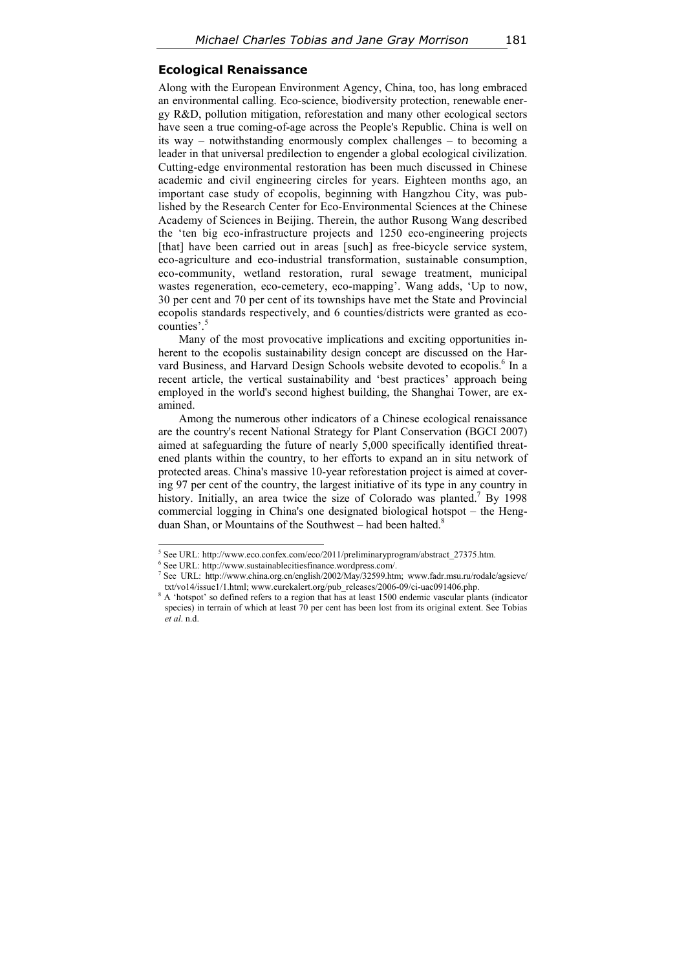# **Ecological Renaissance**

Along with the European Environment Agency, China, too, has long embraced an environmental calling. Eco-science, biodiversity protection, renewable energy R&D, pollution mitigation, reforestation and many other ecological sectors have seen a true coming-of-age across the People's Republic. China is well on its way – notwithstanding enormously complex challenges – to becoming a leader in that universal predilection to engender a global ecological civilization. Cutting-edge environmental restoration has been much discussed in Chinese academic and civil engineering circles for years. Eighteen months ago, an important case study of ecopolis, beginning with Hangzhou City, was published by the Research Center for Eco-Environmental Sciences at the Chinese Academy of Sciences in Beijing. Therein, the author Rusong Wang described the 'ten big eco-infrastructure projects and 1250 eco-engineering projects [that] have been carried out in areas [such] as free-bicycle service system, eco-agriculture and eco-industrial transformation, sustainable consumption, eco-community, wetland restoration, rural sewage treatment, municipal wastes regeneration, eco-cemetery, eco-mapping'. Wang adds, 'Up to now, 30 per cent and 70 per cent of its townships have met the State and Provincial ecopolis standards respectively, and 6 counties/districts were granted as ecocounties'.<sup>5</sup>

Many of the most provocative implications and exciting opportunities inherent to the ecopolis sustainability design concept are discussed on the Harvard Business, and Harvard Design Schools website devoted to ecopolis.<sup>6</sup> In a recent article, the vertical sustainability and 'best practices' approach being employed in the world's second highest building, the Shanghai Tower, are examined.

Among the numerous other indicators of a Chinese ecological renaissance are the country's recent National Strategy for Plant Conservation (BGCI 2007) aimed at safeguarding the future of nearly 5,000 specifically identified threatened plants within the country, to her efforts to expand an in situ network of protected areas. China's massive 10-year reforestation project is aimed at covering 97 per cent of the country, the largest initiative of its type in any country in history. Initially, an area twice the size of Colorado was planted.<sup>7</sup> By 1998 commercial logging in China's one designated biological hotspot – the Hengduan Shan, or Mountains of the Southwest – had been halted.<sup>8</sup>

<sup>&</sup>lt;sup>5</sup> See URL: http://www.eco.confex.com/eco/2011/preliminaryprogram/abstract\_27375.htm.

 $6$  See URL: http://www.sustainablecitiesfinance.wordpress.com/.

<sup>7</sup> See URL: http://www.china.org.cn/english/2002/May/32599.htm; www.fadr.msu.ru/rodale/agsieve/ txt/vo14/issue1/1.html; www.eurekalert.org/pub\_releases/2006-09/ci-uac091406.php.

<sup>&</sup>lt;sup>8</sup> A 'hotspot' so defined refers to a region that has at least 1500 endemic vascular plants (indicator species) in terrain of which at least 70 per cent has been lost from its original extent. See Tobias *et al*. n.d.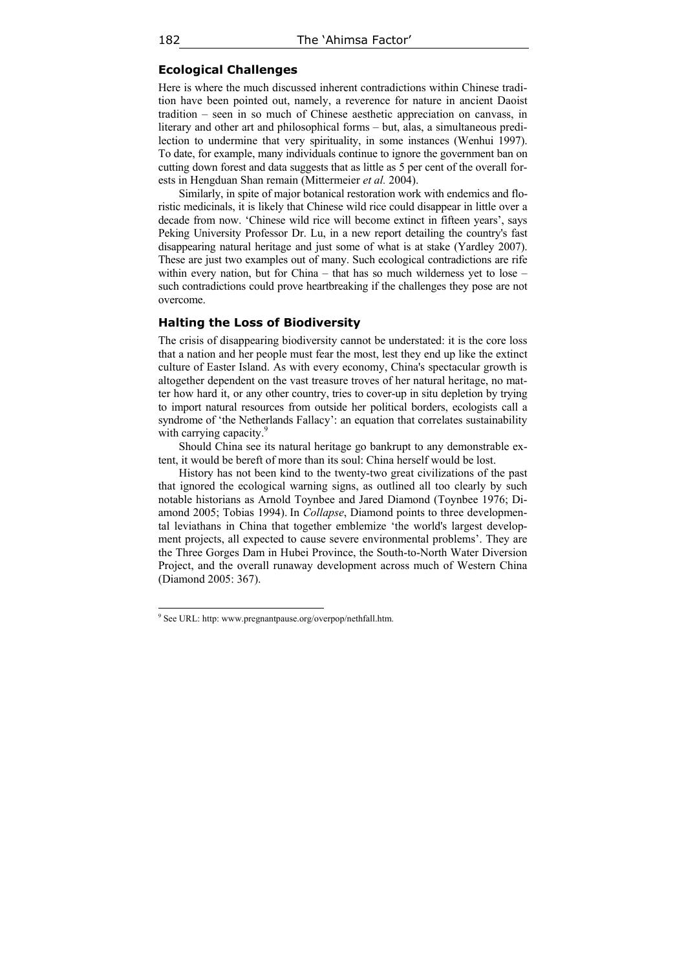# **Ecological Challenges**

Here is where the much discussed inherent contradictions within Chinese tradition have been pointed out, namely, a reverence for nature in ancient Daoist tradition – seen in so much of Chinese aesthetic appreciation on canvass, in literary and other art and philosophical forms – but, alas, a simultaneous predilection to undermine that very spirituality, in some instances (Wenhui 1997). To date, for example, many individuals continue to ignore the government ban on cutting down forest and data suggests that as little as 5 per cent of the overall forests in Hengduan Shan remain (Mittermeier *et al.* 2004).

Similarly, in spite of major botanical restoration work with endemics and floristic medicinals, it is likely that Chinese wild rice could disappear in little over a decade from now. 'Chinese wild rice will become extinct in fifteen years', says Peking University Professor Dr. Lu, in a new report detailing the country's fast disappearing natural heritage and just some of what is at stake (Yardley 2007). These are just two examples out of many. Such ecological contradictions are rife within every nation, but for China – that has so much wilderness yet to lose – such contradictions could prove heartbreaking if the challenges they pose are not overcome.

# **Halting the Loss of Biodiversity**

The crisis of disappearing biodiversity cannot be understated: it is the core loss that a nation and her people must fear the most, lest they end up like the extinct culture of Easter Island. As with every economy, China's spectacular growth is altogether dependent on the vast treasure troves of her natural heritage, no matter how hard it, or any other country, tries to cover-up in situ depletion by trying to import natural resources from outside her political borders, ecologists call a syndrome of 'the Netherlands Fallacy': an equation that correlates sustainability with carrying capacity.<sup>9</sup>

Should China see its natural heritage go bankrupt to any demonstrable extent, it would be bereft of more than its soul: China herself would be lost.

History has not been kind to the twenty-two great civilizations of the past that ignored the ecological warning signs, as outlined all too clearly by such notable historians as Arnold Toynbee and Jared Diamond (Toynbee 1976; Diamond 2005; Tobias 1994). In *Collapse*, Diamond points to three developmental leviathans in China that together emblemize 'the world's largest development projects, all expected to cause severe environmental problems'. They are the Three Gorges Dam in Hubei Province, the South-to-North Water Diversion Project, and the overall runaway development across much of Western China (Diamond 2005: 367).

 $\overline{a}$ 

<sup>&</sup>lt;sup>9</sup> See URL: http: www.pregnantpause.org/overpop/nethfall.htm.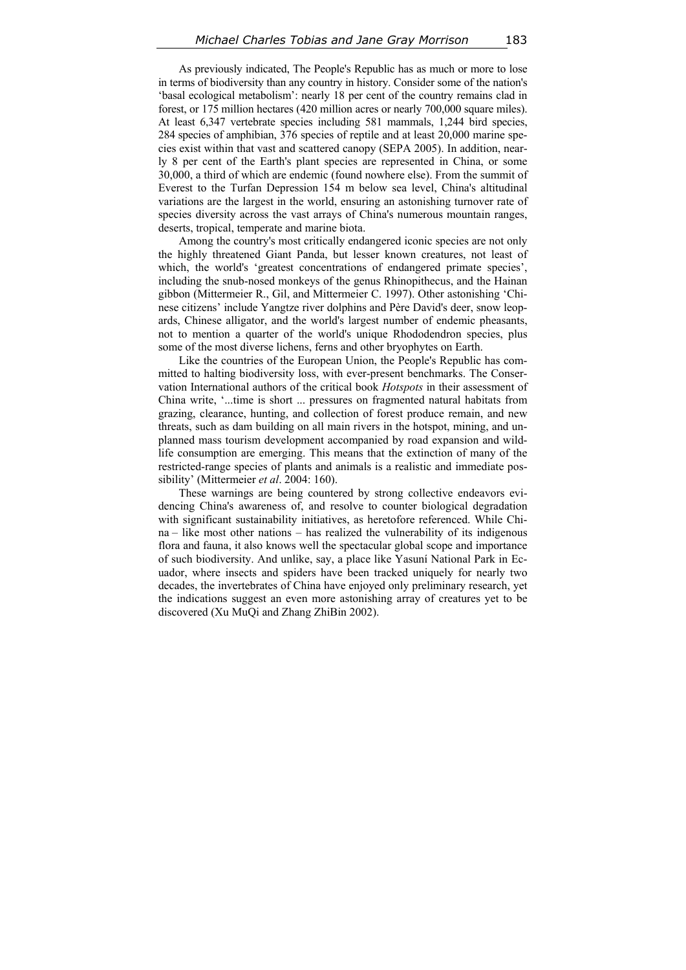As previously indicated, The People's Republic has as much or more to lose in terms of biodiversity than any country in history. Consider some of the nation's 'basal ecological metabolism': nearly 18 per cent of the country remains clad in forest, or 175 million hectares (420 million acres or nearly 700,000 square miles). At least 6,347 vertebrate species including 581 mammals, 1,244 bird species, 284 species of amphibian, 376 species of reptile and at least 20,000 marine species exist within that vast and scattered canopy (SEPA 2005). In addition, nearly 8 per cent of the Earth's plant species are represented in China, or some 30,000, a third of which are endemic (found nowhere else). From the summit of Everest to the Turfan Depression 154 m below sea level, China's altitudinal variations are the largest in the world, ensuring an astonishing turnover rate of species diversity across the vast arrays of China's numerous mountain ranges, deserts, tropical, temperate and marine biota.

Among the country's most critically endangered iconic species are not only the highly threatened Giant Panda, but lesser known creatures, not least of which, the world's 'greatest concentrations of endangered primate species', including the snub-nosed monkeys of the genus Rhinopithecus, and the Hainan gibbon (Mittermeier R., Gil, and Mittermeier C. 1997). Other astonishing 'Chinese citizens' include Yangtze river dolphins and Père David's deer, snow leopards, Chinese alligator, and the world's largest number of endemic pheasants, not to mention a quarter of the world's unique Rhododendron species, plus some of the most diverse lichens, ferns and other bryophytes on Earth.

Like the countries of the European Union, the People's Republic has committed to halting biodiversity loss, with ever-present benchmarks. The Conservation International authors of the critical book *Hotspots* in their assessment of China write, '...time is short ... pressures on fragmented natural habitats from grazing, clearance, hunting, and collection of forest produce remain, and new threats, such as dam building on all main rivers in the hotspot, mining, and unplanned mass tourism development accompanied by road expansion and wildlife consumption are emerging. This means that the extinction of many of the restricted-range species of plants and animals is a realistic and immediate possibility' (Mittermeier *et al*. 2004: 160).

These warnings are being countered by strong collective endeavors evidencing China's awareness of, and resolve to counter biological degradation with significant sustainability initiatives, as heretofore referenced. While China – like most other nations – has realized the vulnerability of its indigenous flora and fauna, it also knows well the spectacular global scope and importance of such biodiversity. And unlike, say, a place like Yasuní National Park in Ecuador, where insects and spiders have been tracked uniquely for nearly two decades, the invertebrates of China have enjoyed only preliminary research, yet the indications suggest an even more astonishing array of creatures yet to be discovered (Xu MuQi and Zhang ZhiBin 2002).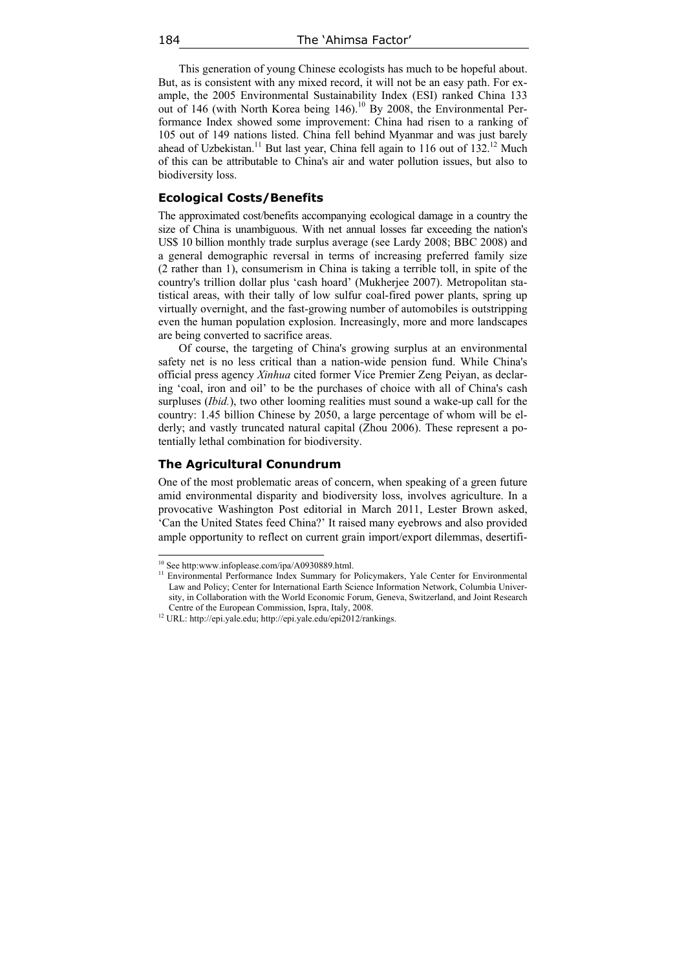This generation of young Chinese ecologists has much to be hopeful about. But, as is consistent with any mixed record, it will not be an easy path. For example, the 2005 Environmental Sustainability Index (ESI) ranked China 133 out of 146 (with North Korea being 146).<sup>10</sup> By 2008, the Environmental Performance Index showed some improvement: China had risen to a ranking of 105 out of 149 nations listed. China fell behind Myanmar and was just barely ahead of Uzbekistan.<sup>11</sup> But last year, China fell again to 116 out of  $132^{12}$  Much of this can be attributable to China's air and water pollution issues, but also to biodiversity loss.

# **Ecological Costs/Benefits**

The approximated cost/benefits accompanying ecological damage in a country the size of China is unambiguous. With net annual losses far exceeding the nation's US\$ 10 billion monthly trade surplus average (see Lardy 2008; BBC 2008) and a general demographic reversal in terms of increasing preferred family size (2 rather than 1), consumerism in China is taking a terrible toll, in spite of the country's trillion dollar plus 'cash hoard' (Mukherjee 2007). Metropolitan statistical areas, with their tally of low sulfur coal-fired power plants, spring up virtually overnight, and the fast-growing number of automobiles is outstripping even the human population explosion. Increasingly, more and more landscapes are being converted to sacrifice areas.

Of course, the targeting of China's growing surplus at an environmental safety net is no less critical than a nation-wide pension fund. While China's official press agency *Xinhua* cited former Vice Premier Zeng Peiyan, as declaring 'coal, iron and oil' to be the purchases of choice with all of China's cash surpluses (*Ibid.*), two other looming realities must sound a wake-up call for the country: 1.45 billion Chinese by 2050, a large percentage of whom will be elderly; and vastly truncated natural capital (Zhou 2006). These represent a potentially lethal combination for biodiversity.

#### **The Agricultural Conundrum**

One of the most problematic areas of concern, when speaking of a green future amid environmental disparity and biodiversity loss, involves agriculture. In a provocative Washington Post editorial in March 2011, Lester Brown asked, 'Can the United States feed China?' It raised many eyebrows and also provided ample opportunity to reflect on current grain import/export dilemmas, desertifi-

<sup>&</sup>lt;sup>10</sup> See http:www.infoplease.com/ipa/A0930889.html.

<sup>&</sup>lt;sup>11</sup> Environmental Performance Index Summary for Policymakers, Yale Center for Environmental Law and Policy; Center for International Earth Science Information Network, Columbia University, in Collaboration with the World Economic Forum, Geneva, Switzerland, and Joint Research Centre of the European Commission, Ispra, Italy, 2008. 12 URL: http://epi.yale.edu; http://epi.yale.edu/epi2012/rankings.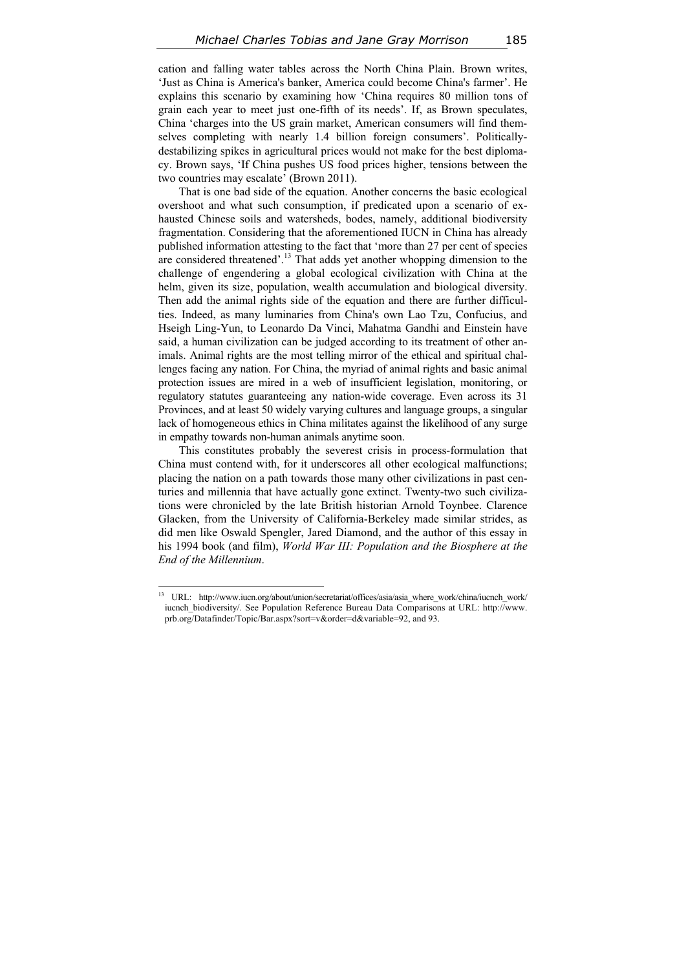cation and falling water tables across the North China Plain. Brown writes, 'Just as China is America's banker, America could become China's farmer'. He explains this scenario by examining how 'China requires 80 million tons of grain each year to meet just one-fifth of its needs'. If, as Brown speculates, China 'charges into the US grain market, American consumers will find themselves completing with nearly 1.4 billion foreign consumers'. Politicallydestabilizing spikes in agricultural prices would not make for the best diplomacy. Brown says, 'If China pushes US food prices higher, tensions between the two countries may escalate' (Brown 2011).

That is one bad side of the equation. Another concerns the basic ecological overshoot and what such consumption, if predicated upon a scenario of exhausted Chinese soils and watersheds, bodes, namely, additional biodiversity fragmentation. Considering that the aforementioned IUCN in China has already published information attesting to the fact that 'more than 27 per cent of species are considered threatened'.13 That adds yet another whopping dimension to the challenge of engendering a global ecological civilization with China at the helm, given its size, population, wealth accumulation and biological diversity. Then add the animal rights side of the equation and there are further difficulties. Indeed, as many luminaries from China's own Lao Tzu, Confucius, and Hseigh Ling-Yun, to Leonardo Da Vinci, Mahatma Gandhi and Einstein have said, a human civilization can be judged according to its treatment of other animals. Animal rights are the most telling mirror of the ethical and spiritual challenges facing any nation. For China, the myriad of animal rights and basic animal protection issues are mired in a web of insufficient legislation, monitoring, or regulatory statutes guaranteeing any nation-wide coverage. Even across its 31 Provinces, and at least 50 widely varying cultures and language groups, a singular lack of homogeneous ethics in China militates against the likelihood of any surge in empathy towards non-human animals anytime soon.

This constitutes probably the severest crisis in process-formulation that China must contend with, for it underscores all other ecological malfunctions; placing the nation on a path towards those many other civilizations in past centuries and millennia that have actually gone extinct. Twenty-two such civilizations were chronicled by the late British historian Arnold Toynbee. Clarence Glacken, from the University of California-Berkeley made similar strides, as did men like Oswald Spengler, Jared Diamond, and the author of this essay in his 1994 book (and film), *World War III: Population and the Biosphere at the End of the Millennium*.

 $13$ 13 URL: http://www.iucn.org/about/union/secretariat/offices/asia/asia\_where\_work/china/iucnch\_work/ iucnch\_biodiversity/. See Population Reference Bureau Data Comparisons at URL: http://www. prb.org/Datafinder/Topic/Bar.aspx?sort=v&order=d&variable=92, and 93.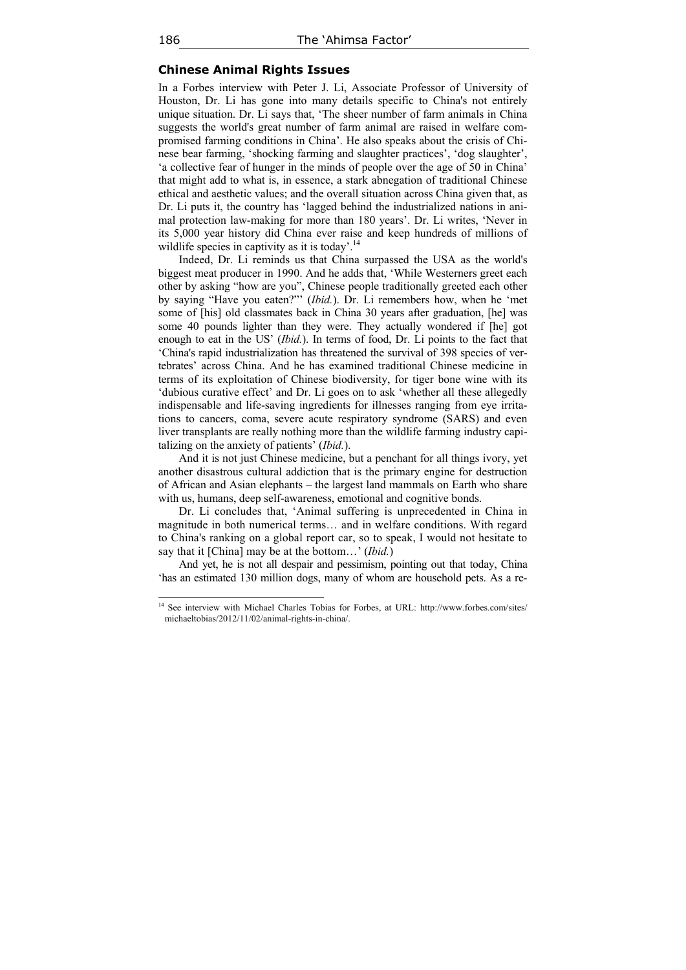#### **Chinese Animal Rights Issues**

In a Forbes interview with Peter J. Li, Associate Professor of University of Houston, Dr. Li has gone into many details specific to China's not entirely unique situation. Dr. Li says that, 'The sheer number of farm animals in China suggests the world's great number of farm animal are raised in welfare compromised farming conditions in China'. He also speaks about the crisis of Chinese bear farming, 'shocking farming and slaughter practices', 'dog slaughter', 'a collective fear of hunger in the minds of people over the age of 50 in China' that might add to what is, in essence, a stark abnegation of traditional Chinese ethical and aesthetic values; and the overall situation across China given that, as Dr. Li puts it, the country has 'lagged behind the industrialized nations in animal protection law-making for more than 180 years'. Dr. Li writes, 'Never in its 5,000 year history did China ever raise and keep hundreds of millions of wildlife species in captivity as it is today'.<sup>14</sup>

Indeed, Dr. Li reminds us that China surpassed the USA as the world's biggest meat producer in 1990. And he adds that, 'While Westerners greet each other by asking "how are you", Chinese people traditionally greeted each other by saying "Have you eaten?"' (*Ibid.*). Dr. Li remembers how, when he 'met some of [his] old classmates back in China 30 years after graduation, [he] was some 40 pounds lighter than they were. They actually wondered if [he] got enough to eat in the US' (*Ibid.*). In terms of food, Dr. Li points to the fact that 'China's rapid industrialization has threatened the survival of 398 species of vertebrates' across China. And he has examined traditional Chinese medicine in terms of its exploitation of Chinese biodiversity, for tiger bone wine with its 'dubious curative effect' and Dr. Li goes on to ask 'whether all these allegedly indispensable and life-saving ingredients for illnesses ranging from eye irritations to cancers, coma, severe acute respiratory syndrome (SARS) and even liver transplants are really nothing more than the wildlife farming industry capitalizing on the anxiety of patients' (*Ibid.*).

And it is not just Chinese medicine, but a penchant for all things ivory, yet another disastrous cultural addiction that is the primary engine for destruction of African and Asian elephants – the largest land mammals on Earth who share with us, humans, deep self-awareness, emotional and cognitive bonds.

Dr. Li concludes that, 'Animal suffering is unprecedented in China in magnitude in both numerical terms… and in welfare conditions. With regard to China's ranking on a global report car, so to speak, I would not hesitate to say that it [China] may be at the bottom…' (*Ibid.*)

And yet, he is not all despair and pessimism, pointing out that today, China 'has an estimated 130 million dogs, many of whom are household pets. As a re-

<sup>&</sup>lt;sup>14</sup> See interview with Michael Charles Tobias for Forbes, at URL: http://www.forbes.com/sites/ michaeltobias/2012/11/02/animal-rights-in-china/.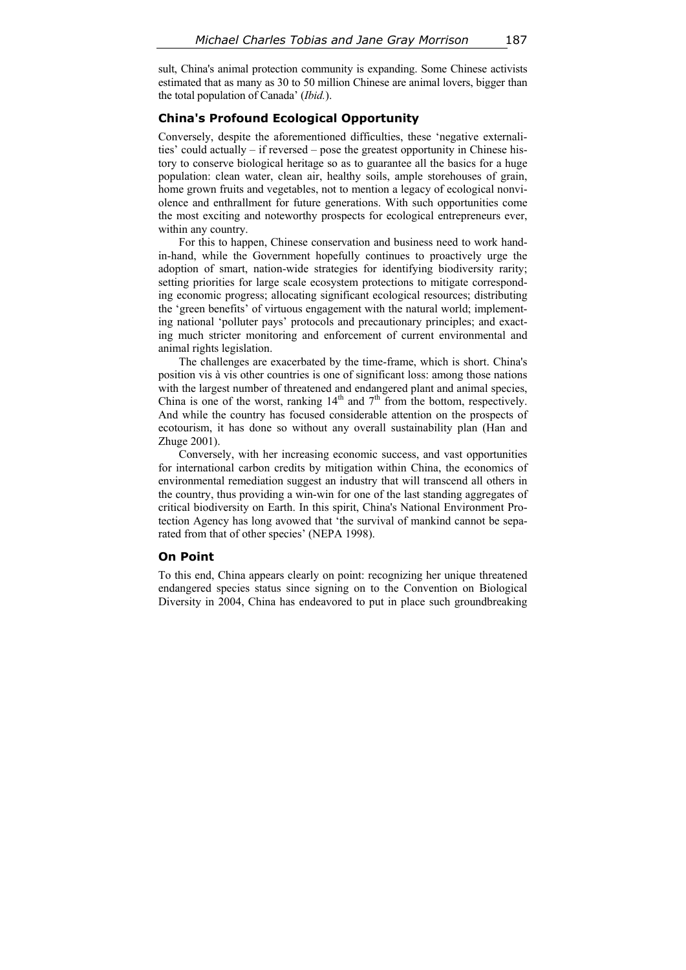sult, China's animal protection community is expanding. Some Chinese activists estimated that as many as 30 to 50 million Chinese are animal lovers, bigger than the total population of Canada' (*Ibid.*).

# **China's Profound Ecological Opportunity**

Conversely, despite the aforementioned difficulties, these 'negative externalities' could actually – if reversed – pose the greatest opportunity in Chinese history to conserve biological heritage so as to guarantee all the basics for a huge population: clean water, clean air, healthy soils, ample storehouses of grain, home grown fruits and vegetables, not to mention a legacy of ecological nonviolence and enthrallment for future generations. With such opportunities come the most exciting and noteworthy prospects for ecological entrepreneurs ever, within any country.

For this to happen, Chinese conservation and business need to work handin-hand, while the Government hopefully continues to proactively urge the adoption of smart, nation-wide strategies for identifying biodiversity rarity; setting priorities for large scale ecosystem protections to mitigate corresponding economic progress; allocating significant ecological resources; distributing the 'green benefits' of virtuous engagement with the natural world; implementing national 'polluter pays' protocols and precautionary principles; and exacting much stricter monitoring and enforcement of current environmental and animal rights legislation.

The challenges are exacerbated by the time-frame, which is short. China's position vis à vis other countries is one of significant loss: among those nations with the largest number of threatened and endangered plant and animal species, China is one of the worst, ranking  $14<sup>th</sup>$  and  $7<sup>th</sup>$  from the bottom, respectively. And while the country has focused considerable attention on the prospects of ecotourism, it has done so without any overall sustainability plan (Han and Zhuge 2001).

Conversely, with her increasing economic success, and vast opportunities for international carbon credits by mitigation within China, the economics of environmental remediation suggest an industry that will transcend all others in the country, thus providing a win-win for one of the last standing aggregates of critical biodiversity on Earth. In this spirit, China's National Environment Protection Agency has long avowed that 'the survival of mankind cannot be separated from that of other species' (NEPA 1998).

#### **On Point**

To this end, China appears clearly on point: recognizing her unique threatened endangered species status since signing on to the Convention on Biological Diversity in 2004, China has endeavored to put in place such groundbreaking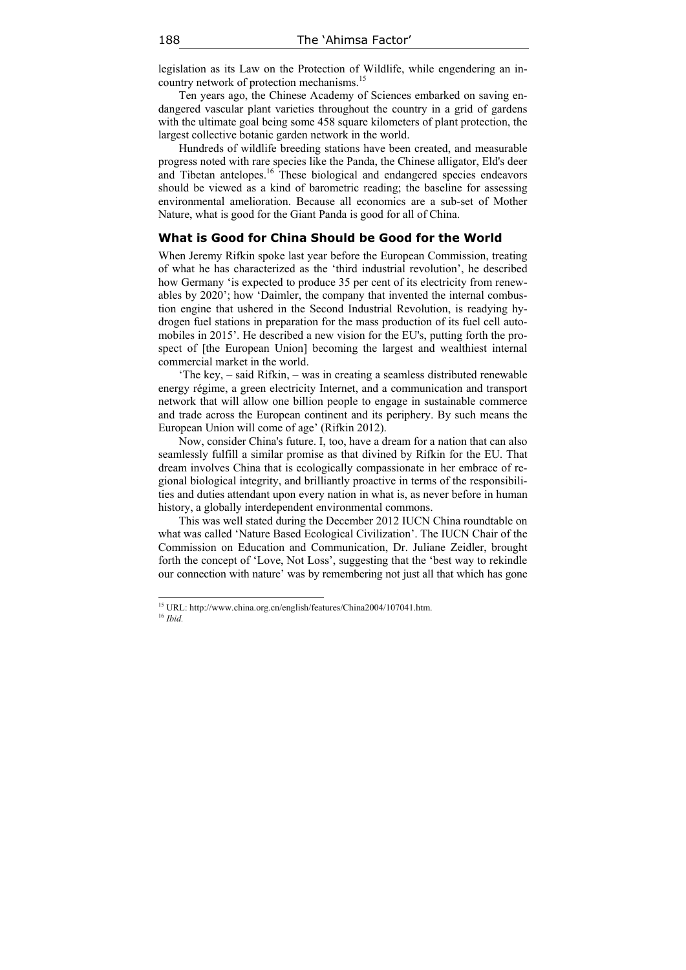legislation as its Law on the Protection of Wildlife, while engendering an incountry network of protection mechanisms.<sup>15</sup>

Ten years ago, the Chinese Academy of Sciences embarked on saving endangered vascular plant varieties throughout the country in a grid of gardens with the ultimate goal being some 458 square kilometers of plant protection, the largest collective botanic garden network in the world.

Hundreds of wildlife breeding stations have been created, and measurable progress noted with rare species like the Panda, the Chinese alligator, Eld's deer and Tibetan antelopes.<sup>16</sup> These biological and endangered species endeavors should be viewed as a kind of barometric reading; the baseline for assessing environmental amelioration. Because all economics are a sub-set of Mother Nature, what is good for the Giant Panda is good for all of China.

#### **What is Good for China Should be Good for the World**

When Jeremy Rifkin spoke last year before the European Commission, treating of what he has characterized as the 'third industrial revolution', he described how Germany 'is expected to produce 35 per cent of its electricity from renewables by 2020'; how 'Daimler, the company that invented the internal combustion engine that ushered in the Second Industrial Revolution, is readying hydrogen fuel stations in preparation for the mass production of its fuel cell automobiles in 2015'. He described a new vision for the EU's, putting forth the prospect of [the European Union] becoming the largest and wealthiest internal commercial market in the world.

'The key, – said Rifkin, – was in creating a seamless distributed renewable energy régime, a green electricity Internet, and a communication and transport network that will allow one billion people to engage in sustainable commerce and trade across the European continent and its periphery. By such means the European Union will come of age' (Rifkin 2012).

Now, consider China's future. I, too, have a dream for a nation that can also seamlessly fulfill a similar promise as that divined by Rifkin for the EU. That dream involves China that is ecologically compassionate in her embrace of regional biological integrity, and brilliantly proactive in terms of the responsibilities and duties attendant upon every nation in what is, as never before in human history, a globally interdependent environmental commons.

This was well stated during the December 2012 IUCN China roundtable on what was called 'Nature Based Ecological Civilization'. The IUCN Chair of the Commission on Education and Communication, Dr. Juliane Zeidler, brought forth the concept of 'Love, Not Loss', suggesting that the 'best way to rekindle our connection with nature' was by remembering not just all that which has gone

<sup>15</sup> URL: http://www.china.org.cn/english/features/China2004/107041.htm. 16 *Ibid.*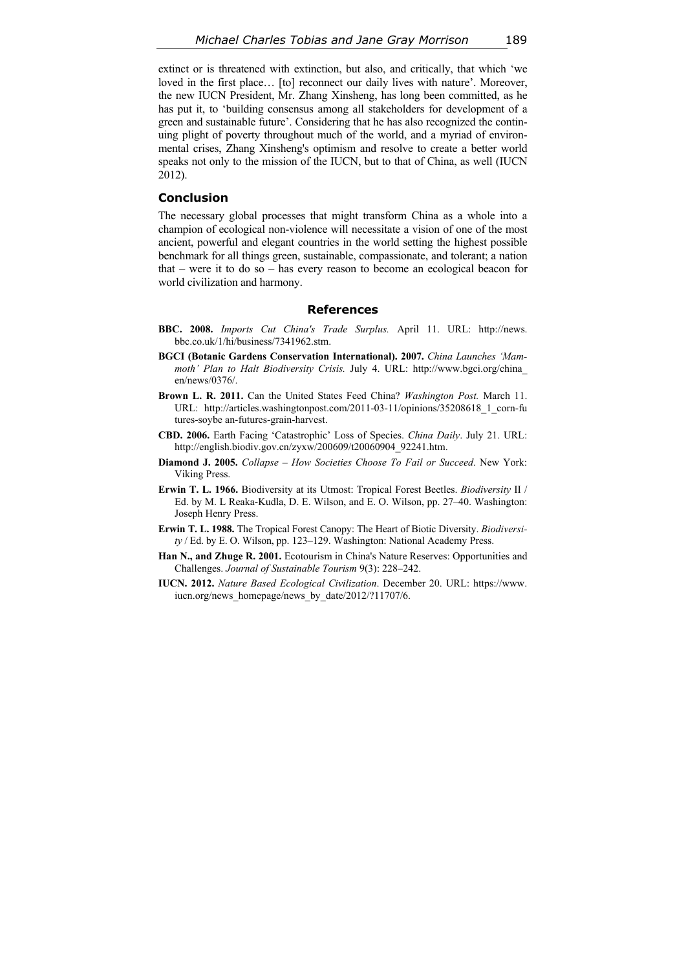extinct or is threatened with extinction, but also, and critically, that which 'we loved in the first place... [to] reconnect our daily lives with nature'. Moreover, the new IUCN President, Mr. Zhang Xinsheng, has long been committed, as he has put it, to 'building consensus among all stakeholders for development of a green and sustainable future'. Considering that he has also recognized the continuing plight of poverty throughout much of the world, and a myriad of environmental crises, Zhang Xinsheng's optimism and resolve to create a better world speaks not only to the mission of the IUCN, but to that of China, as well (IUCN 2012).

# **Conclusion**

The necessary global processes that might transform China as a whole into a champion of ecological non-violence will necessitate a vision of one of the most ancient, powerful and elegant countries in the world setting the highest possible benchmark for all things green, sustainable, compassionate, and tolerant; a nation that – were it to do so – has every reason to become an ecological beacon for world civilization and harmony.

# **References**

- **BBC. 2008.** *Imports Cut China's Trade Surplus.* April 11. URL: http://news. bbc.co.uk/1/hi/business/7341962.stm.
- **BGCI (Botanic Gardens Conservation International). 2007.** *China Launches 'Mammoth' Plan to Halt Biodiversity Crisis.* July 4. URL: http://www.bgci.org/china\_ en/news/0376/.
- **Brown L. R. 2011.** Can the United States Feed China? *Washington Post.* March 11. URL: http://articles.washingtonpost.com/2011-03-11/opinions/35208618\_1\_corn-fu tures-soybe an-futures-grain-harvest.
- **СBD. 2006.** Earth Facing 'Catastrophic' Loss of Species. *China Daily*. July 21. URL: http://english.biodiv.gov.cn/zyxw/200609/t20060904\_92241.htm.
- **Diamond J. 2005.** *Collapse How Societies Choose To Fail or Succeed*. New York: Viking Press.
- **Erwin T. L. 1966.** Biodiversity at its Utmost: Tropical Forest Beetles. *Biodiversity* II / Ed. by M. L Reaka-Kudla, D. E. Wilson, and E. O. Wilson, pp. 27–40. Washington: Joseph Henry Press.
- **Erwin T. L. 1988.** The Tropical Forest Canopy: The Heart of Biotic Diversity. *Biodiversity* / Ed. by E. O. Wilson, pp. 123–129. Washington: National Academy Press.
- **Han N., and Zhuge R. 2001.** Ecotourism in China's Nature Reserves: Opportunities and Challenges. *Journal of Sustainable Tourism* 9(3): 228–242.
- **IUCN. 2012.** *Nature Based Ecological Civilization*. December 20. URL: https://www. iucn.org/news\_homepage/news\_by\_date/2012/?11707/6.